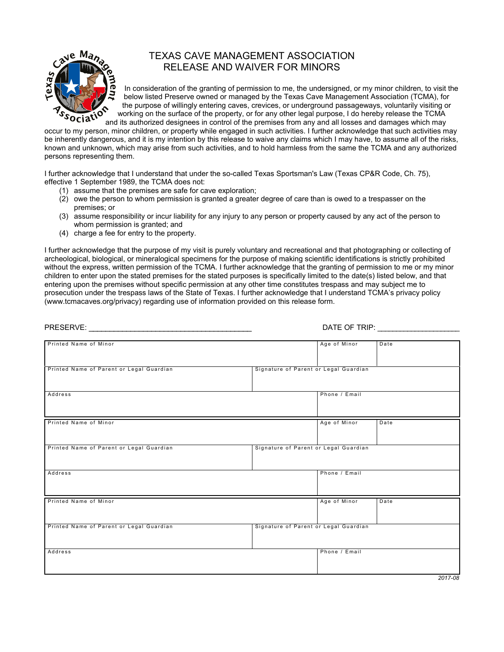

## TEXAS CAVE MANAGEMENT ASSOCIATION RELEASE AND WAIVER FOR MINORS

In consideration of the granting of permission to me, the undersigned, or my minor children, to visit the below listed Preserve owned or managed by the Texas Cave Management Association (TCMA), for the purpose of willingly entering caves, crevices, or underground passageways, voluntarily visiting or working on the surface of the property, or for any other legal purpose, I do hereby release the TCMA and its authorized designees in control of the premises from any and all losses and damages which may

occur to my person, minor children, or property while engaged in such activities. I further acknowledge that such activities may be inherently dangerous, and it is my intention by this release to waive any claims which I may have, to assume all of the risks, known and unknown, which may arise from such activities, and to hold harmless from the same the TCMA and any authorized persons representing them.

I further acknowledge that I understand that under the so-called Texas Sportsman's Law (Texas CP&R Code, Ch. 75), effective 1 September 1989, the TCMA does not:

- (1) assume that the premises are safe for cave exploration;
- (2) owe the person to whom permission is granted a greater degree of care than is owed to a trespasser on the premises; or
- (3) assume responsibility or incur liability for any injury to any person or property caused by any act of the person to whom permission is granted; and
- (4) charge a fee for entry to the property.

I further acknowledge that the purpose of my visit is purely voluntary and recreational and that photographing or collecting of archeological, biological, or mineralogical specimens for the purpose of making scientific identifications is strictly prohibited without the express, written permission of the TCMA. I further acknowledge that the granting of permission to me or my minor children to enter upon the stated premises for the stated purposes is specifically limited to the date(s) listed below, and that entering upon the premises without specific permission at any other time constitutes trespass and may subject me to prosecution under the trespass laws of the State of Texas. I further acknowledge that I understand TCMA's privacy policy ([www.tcmacaves.org/privacy\)](http://www.tcmacaves.org/privacy) regarding use of information provided on this release form.

|                                          | DATE OF TRIP: THE STATE OF TRIP:      |  |  |
|------------------------------------------|---------------------------------------|--|--|
|                                          |                                       |  |  |
| Printed Name of Minor                    | Age of Minor<br>Date                  |  |  |
| Printed Name of Parent or Legal Guardian | Signature of Parent or Legal Guardian |  |  |
| Address                                  | Phone / Email                         |  |  |
| Printed Name of Minor                    | Age of Minor<br>Date                  |  |  |
| Printed Name of Parent or Legal Guardian | Signature of Parent or Legal Guardian |  |  |
| Address                                  | Phone / Email                         |  |  |
| Printed Name of Minor                    | Age of Minor<br>Date                  |  |  |
| Printed Name of Parent or Legal Guardian | Signature of Parent or Legal Guardian |  |  |
| Address                                  | Phone / Email                         |  |  |